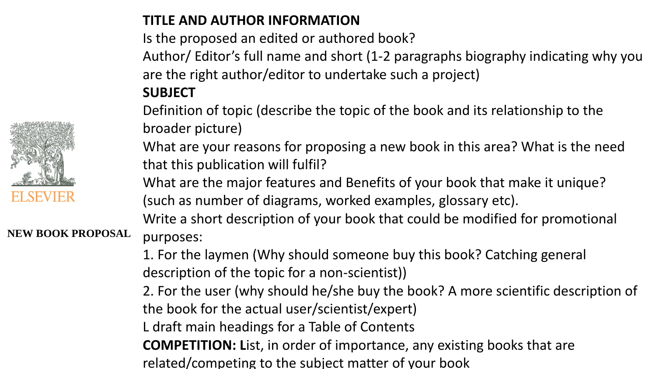

Is the proposed an edited or authored book?

Author/ Editor's full name and short (1-2 paragraphs biography indicating why you are the right author/editor to undertake such a project)

### **SUBJECT**

Definition of topic (describe the topic of the book and its relationship to the broader picture)

What are your reasons for proposing a new book in this area? What is the need that this publication will fulfil?

What are the major features and Benefits of your book that make it unique? (such as number of diagrams, worked examples, glossary etc).

Write a short description of your book that could be modified for promotional

#### **NEW BOOK PROPOSAL** purposes:

1. For the laymen (Why should someone buy this book? Catching general description of the topic for a non-scientist))

2. For the user (why should he/she buy the book? A more scientific description of the book for the actual user/scientist/expert)

L draft main headings for a Table of Contents

**COMPETITION: L**ist, in order of importance, any existing books that are related/competing to the subject matter of your book

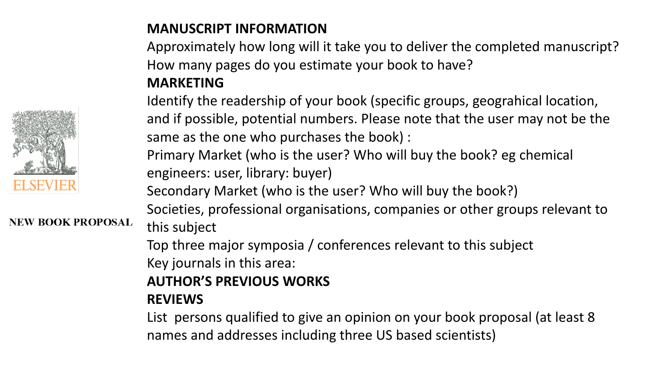

**NEW BOOK PROPOSAL** 

#### **MANUSCRIPT INFORMATION**

Approximately how long will it take you to deliver the completed manuscript? How many pages do you estimate your book to have?

#### **MARKETING**

Identify the readership of your book (specific groups, geograhical location, and if possible, potential numbers. Please note that the user may not be the same as the one who purchases the book) :

Primary Market (who is the user? Who will buy the book? eg chemical engineers: user, library: buyer)

Secondary Market (who is the user? Who will buy the book?)

Societies, professional organisations, companies or other groups relevant to this subject

Top three major symposia / conferences relevant to this subject Key journals in this area:

# **AUTHOR'S PREVIOUS WORKS**

## **REVIEWS**

List persons qualified to give an opinion on your book proposal (at least 8 names and addresses including three US based scientists)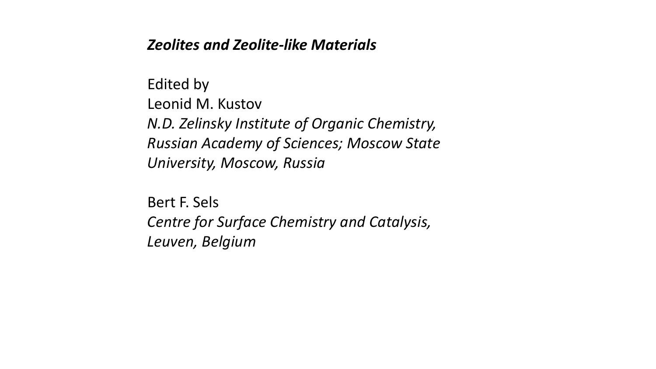#### *Zeolites and Zeolite-like Materials*

Edited by Leonid M. Kustov *N.D. Zelinsky Institute of Organic Chemistry, Russian Academy of Sciences; Moscow State University, Moscow, Russia*

Bert F. Sels *Centre for Surface Chemistry and Catalysis, Leuven, Belgium*